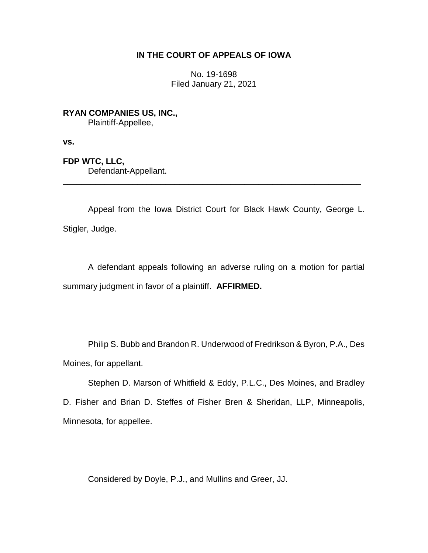## **IN THE COURT OF APPEALS OF IOWA**

No. 19-1698 Filed January 21, 2021

**RYAN COMPANIES US, INC.,** Plaintiff-Appellee,

**vs.**

**FDP WTC, LLC,** Defendant-Appellant. \_\_\_\_\_\_\_\_\_\_\_\_\_\_\_\_\_\_\_\_\_\_\_\_\_\_\_\_\_\_\_\_\_\_\_\_\_\_\_\_\_\_\_\_\_\_\_\_\_\_\_\_\_\_\_\_\_\_\_\_\_\_\_\_

Appeal from the Iowa District Court for Black Hawk County, George L. Stigler, Judge.

A defendant appeals following an adverse ruling on a motion for partial summary judgment in favor of a plaintiff. **AFFIRMED.**

Philip S. Bubb and Brandon R. Underwood of Fredrikson & Byron, P.A., Des Moines, for appellant.

Stephen D. Marson of Whitfield & Eddy, P.L.C., Des Moines, and Bradley D. Fisher and Brian D. Steffes of Fisher Bren & Sheridan, LLP, Minneapolis, Minnesota, for appellee.

Considered by Doyle, P.J., and Mullins and Greer, JJ.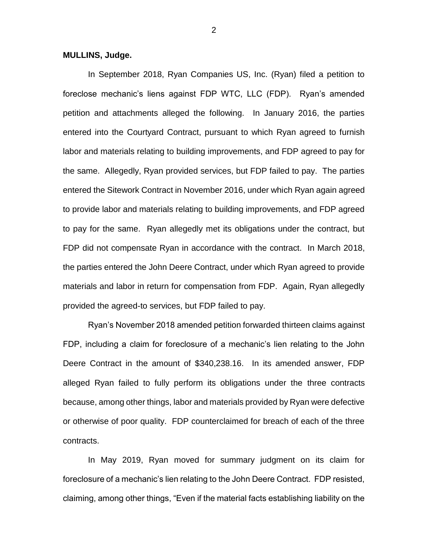## **MULLINS, Judge.**

In September 2018, Ryan Companies US, Inc. (Ryan) filed a petition to foreclose mechanic's liens against FDP WTC, LLC (FDP). Ryan's amended petition and attachments alleged the following. In January 2016, the parties entered into the Courtyard Contract, pursuant to which Ryan agreed to furnish labor and materials relating to building improvements, and FDP agreed to pay for the same. Allegedly, Ryan provided services, but FDP failed to pay. The parties entered the Sitework Contract in November 2016, under which Ryan again agreed to provide labor and materials relating to building improvements, and FDP agreed to pay for the same. Ryan allegedly met its obligations under the contract, but FDP did not compensate Ryan in accordance with the contract. In March 2018, the parties entered the John Deere Contract, under which Ryan agreed to provide materials and labor in return for compensation from FDP. Again, Ryan allegedly provided the agreed-to services, but FDP failed to pay.

Ryan's November 2018 amended petition forwarded thirteen claims against FDP, including a claim for foreclosure of a mechanic's lien relating to the John Deere Contract in the amount of \$340,238.16. In its amended answer, FDP alleged Ryan failed to fully perform its obligations under the three contracts because, among other things, labor and materials provided by Ryan were defective or otherwise of poor quality. FDP counterclaimed for breach of each of the three contracts.

In May 2019, Ryan moved for summary judgment on its claim for foreclosure of a mechanic's lien relating to the John Deere Contract. FDP resisted, claiming, among other things, "Even if the material facts establishing liability on the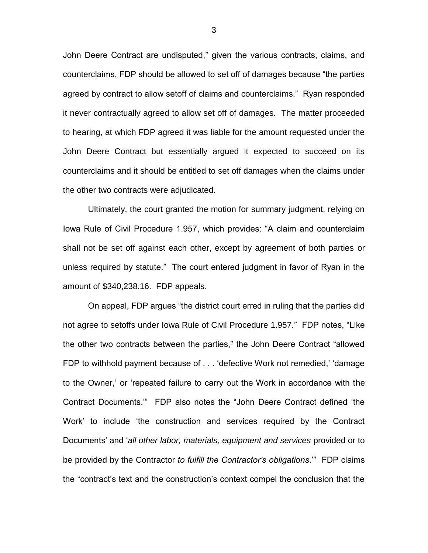John Deere Contract are undisputed," given the various contracts, claims, and counterclaims, FDP should be allowed to set off of damages because "the parties agreed by contract to allow setoff of claims and counterclaims." Ryan responded it never contractually agreed to allow set off of damages. The matter proceeded to hearing, at which FDP agreed it was liable for the amount requested under the John Deere Contract but essentially argued it expected to succeed on its counterclaims and it should be entitled to set off damages when the claims under the other two contracts were adjudicated.

Ultimately, the court granted the motion for summary judgment, relying on Iowa Rule of Civil Procedure 1.957, which provides: "A claim and counterclaim shall not be set off against each other, except by agreement of both parties or unless required by statute." The court entered judgment in favor of Ryan in the amount of \$340,238.16. FDP appeals.

On appeal, FDP argues "the district court erred in ruling that the parties did not agree to setoffs under Iowa Rule of Civil Procedure 1.957." FDP notes, "Like the other two contracts between the parties," the John Deere Contract "allowed FDP to withhold payment because of . . . 'defective Work not remedied,' 'damage to the Owner,' or 'repeated failure to carry out the Work in accordance with the Contract Documents.'" FDP also notes the "John Deere Contract defined 'the Work' to include 'the construction and services required by the Contract Documents' and '*all other labor, materials, equipment and services* provided or to be provided by the Contractor *to fulfill the Contractor's obligations*.'" FDP claims the "contract's text and the construction's context compel the conclusion that the